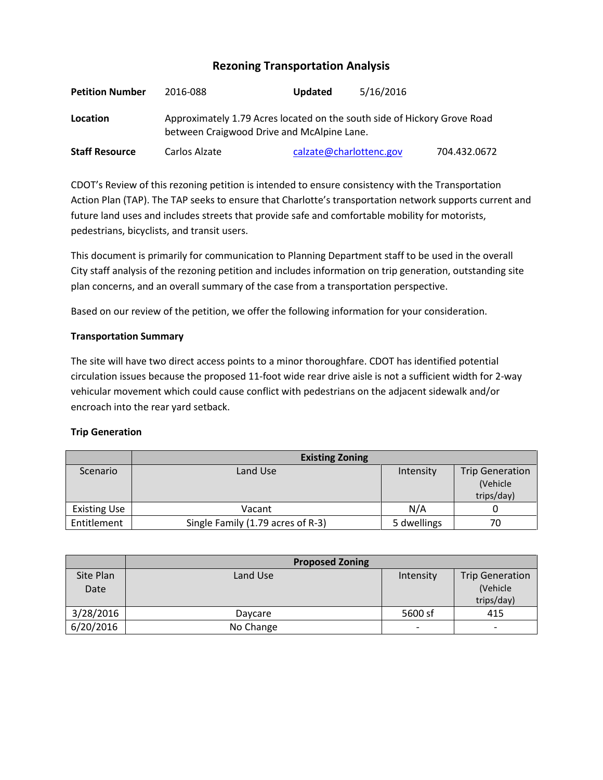# **Rezoning Transportation Analysis**

| <b>Petition Number</b> | 2016-088                                                                                                               | Updated                 | 5/16/2016 |              |  |
|------------------------|------------------------------------------------------------------------------------------------------------------------|-------------------------|-----------|--------------|--|
| Location               | Approximately 1.79 Acres located on the south side of Hickory Grove Road<br>between Craigwood Drive and McAlpine Lane. |                         |           |              |  |
| <b>Staff Resource</b>  | Carlos Alzate                                                                                                          | calzate@charlottenc.gov |           | 704.432.0672 |  |

CDOT's Review of this rezoning petition is intended to ensure consistency with the Transportation Action Plan (TAP). The TAP seeks to ensure that Charlotte's transportation network supports current and future land uses and includes streets that provide safe and comfortable mobility for motorists, pedestrians, bicyclists, and transit users.

This document is primarily for communication to Planning Department staff to be used in the overall City staff analysis of the rezoning petition and includes information on trip generation, outstanding site plan concerns, and an overall summary of the case from a transportation perspective.

Based on our review of the petition, we offer the following information for your consideration.

# **Transportation Summary**

The site will have two direct access points to a minor thoroughfare. CDOT has identified potential circulation issues because the proposed 11-foot wide rear drive aisle is not a sufficient width for 2-way vehicular movement which could cause conflict with pedestrians on the adjacent sidewalk and/or encroach into the rear yard setback.

# **Trip Generation**

|                     | <b>Existing Zoning</b>            |             |                        |
|---------------------|-----------------------------------|-------------|------------------------|
| Scenario            | Land Use                          | Intensity   | <b>Trip Generation</b> |
|                     |                                   |             | (Vehicle               |
|                     |                                   |             | trips/day)             |
| <b>Existing Use</b> | Vacant                            | N/A         |                        |
| Entitlement         | Single Family (1.79 acres of R-3) | 5 dwellings | 70                     |

|           | <b>Proposed Zoning</b> |                          |                          |
|-----------|------------------------|--------------------------|--------------------------|
| Site Plan | Land Use               | Intensity                | <b>Trip Generation</b>   |
| Date      |                        |                          | (Vehicle                 |
|           |                        |                          | trips/day)               |
| 3/28/2016 | Daycare                | 5600 sf                  | 415                      |
| 6/20/2016 | No Change              | $\overline{\phantom{0}}$ | $\overline{\phantom{0}}$ |